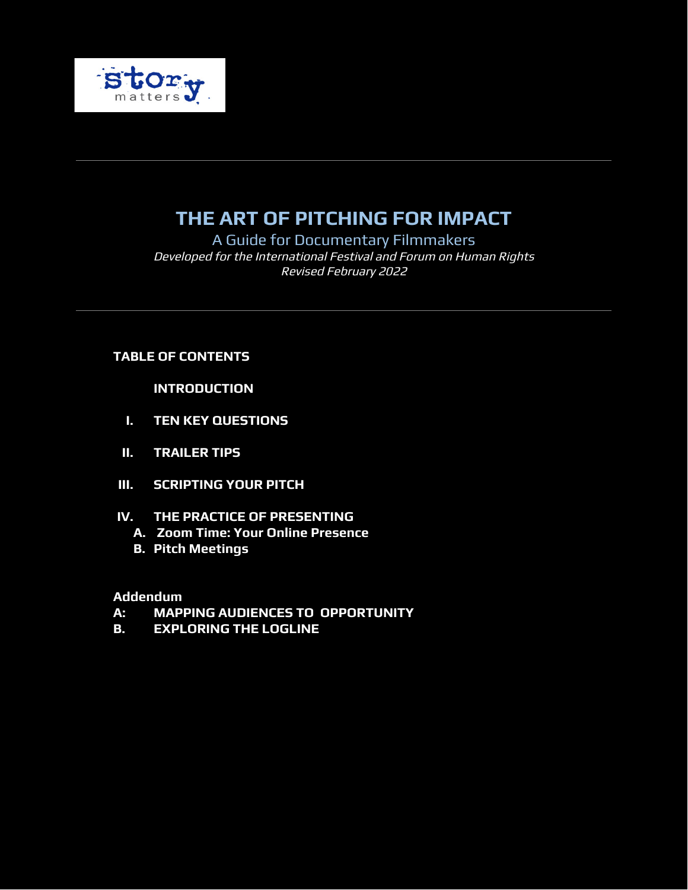

# **THE ART OF PITCHING FOR IMPACT**

A Guide for Documentary Filmmakers Developed for the International Festival and Forum on Human Rights Revised February 2022

# **TABLE OF CONTENTS**

**INTRODUCTION**

- **I. TEN KEY QUESTIONS**
- **II. TRAILER TIPS**
- **III. SCRIPTING YOUR PITCH**
- **IV. THE PRACTICE OF PRESENTING**
	- **A. Zoom Time: Your Online Presence**
	- **B. Pitch Meetings**

#### **Addendum**

- **A: MAPPING AUDIENCES TO OPPORTUNITY**
- **B. EXPLORING THE LOGLINE**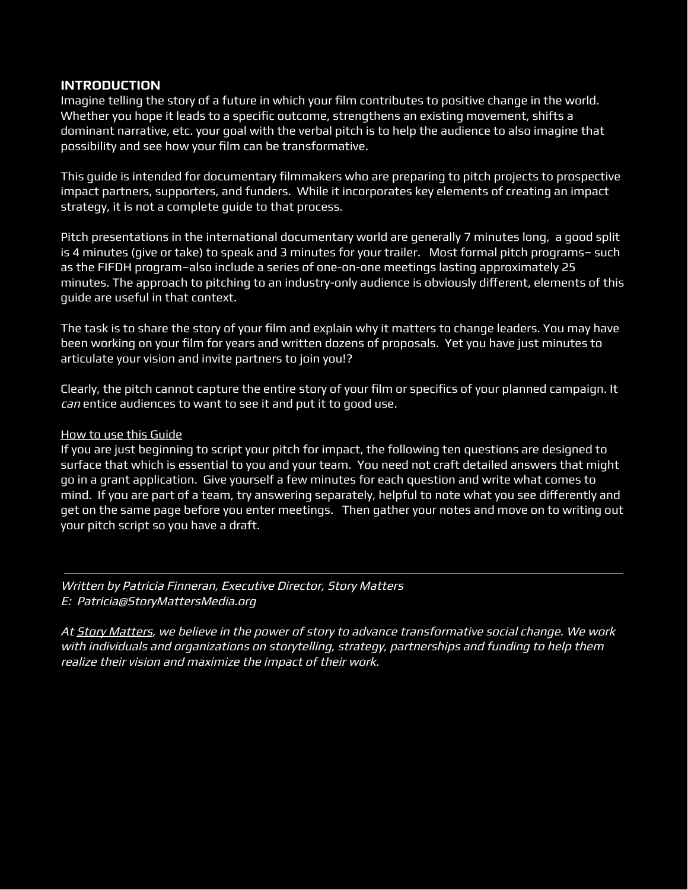#### **INTRODUCTION**

Imagine telling the story of a future in which your film contributes to positive change in the world. Whether you hope it leads to a specific outcome, strengthens an existing movement, shifts a dominant narrative, etc. your goal with the verbal pitch is to help the audience to also imagine that possibility and see how your film can be transformative.

This guide is intended for documentary filmmakers who are preparing to pitch projects to prospective impact partners, supporters, and funders. While it incorporates key elements of creating an impact strategy, it is not a complete guide to that process.

Pitch presentations in the international documentary world are generally 7 minutes long, a good split is 4 minutes (give or take) to speak and 3 minutes for your trailer. Most formal pitch programs– such as the FIFDH program–also include a series of one-on-one meetings lasting approximately 25 minutes. The approach to pitching to an industry-only audience is obviously different, elements of this guide are useful in that context.

The task is to share the story of your film and explain why it matters to change leaders. You may have been working on your film for years and written dozens of proposals. Yet you have just minutes to articulate your vision and invite partners to join you!?

Clearly, the pitch cannot capture the entire story of your film or specifics of your planned campaign. It can entice audiences to want to see it and put it to good use.

#### How to use this Guide

If you are just beginning to script your pitch for impact, the following ten questions are designed to surface that which is essential to you and your team. You need not craft detailed answers that might go in a grant application. Give yourself a few minutes for each question and write what comes to mind. If you are part of a team, try answering separately, helpful to note what you see differently and get on the same page before you enter meetings. Then gather your notes and move on to writing out your pitch script so you have a draft.

Written by Patricia Finneran, Executive Director, Story Matters E: Patricia@StoryMattersMedia.org

At Story [Matters,](http://www.storymattersmedia.org/) we believe in the power of story to advance transformative social change. We work with individuals and organizations on storytelling, strategy, partnerships and funding to help them realize their vision and maximize the impact of their work.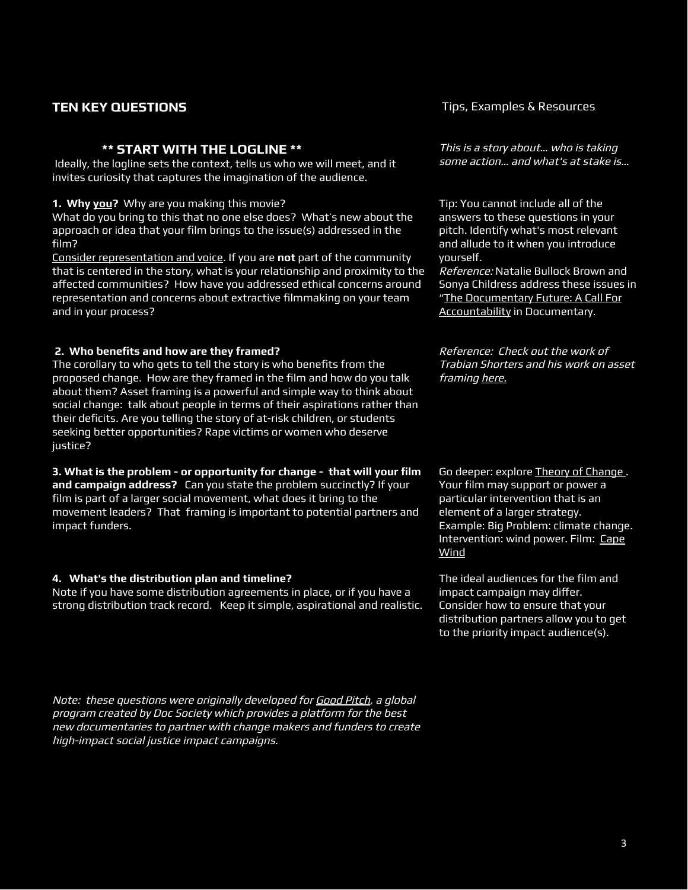#### **\*\* START WITH THE LOGLINE \*\***

Ideally, the logline sets the context, tells us who we will meet, and it invites curiosity that captures the imagination of the audience.

**1. Why you?** Why are you making this movie?

What do you bring to this that no one else does? What's new about the approach or idea that your film brings to the issue(s) addressed in the film?

Consider representation and voice. If you are **not** part of the community that is centered in the story, what is your relationship and proximity to the affected communities? How have you addressed ethical concerns around representation and concerns about extractive filmmaking on your team and in your process?

#### **2. Who benefits and how are they framed?**

The corollary to who gets to tell the story is who benefits from the proposed change. How are they framed in the film and how do you talk about them? Asset framing is a powerful and simple way to think about social change: talk about people in terms of their aspirations rather than their deficits. Are you telling the story of at-risk children, or students seeking better opportunities? Rape victims or women who deserve justice?

**3. What is the problem - or opportunity for change - that will your film and campaign address?** Can you state the problem succinctly? If your film is part of a larger social movement, what does it bring to the movement leaders? That framing is important to potential partners and impact funders.

#### **4. What's the distribution plan and timeline?**

Note if you have some distribution agreements in place, or if you have a strong distribution track record. Keep it simple, aspirational and realistic.

Note: these questions were originally developed for [Good](https://goodpitch.org/about) Pitch, <sup>a</sup> global program created by Doc Society which provides <sup>a</sup> platform for the best new documentaries to partner with change makers and funders to create high-impact social justice impact campaigns.

**TEN KEY QUESTIONS** TENS TIPS, Examples & Resources

This is <sup>a</sup> story about… who is taking some action… and what's at stake is…

Tip: You cannot include all of the answers to these questions in your pitch. Identify what's most relevant and allude to it when you introduce yourself.

Reference: Natalie Bullock Brown and Sonya Childress address these issues in "The [Documentary](https://www.documentary.org/feature/documentary-future-call-accountability) Future: A Call For [Accountability](https://www.documentary.org/feature/documentary-future-call-accountability) in Documentary.

Reference: Check out the work of Trabian Shorters and his work on asset framing [here.](https://bmecommunity.org/asset-framing/)

Go deeper: explore Theory of [Change](https://www.theoryofchange.org/what-is-theory-of-change/) . Your film may support or power a particular intervention that is an element of a larger strategy. Example: Big Problem: climate change. Intervention: wind power. Film: [Cape](https://cape-wind-movie-trailer.blogspot.com/) [Wind](https://cape-wind-movie-trailer.blogspot.com/)

The ideal audiences for the film and impact campaign may differ. Consider how to ensure that your distribution partners allow you to get to the priority impact audience(s).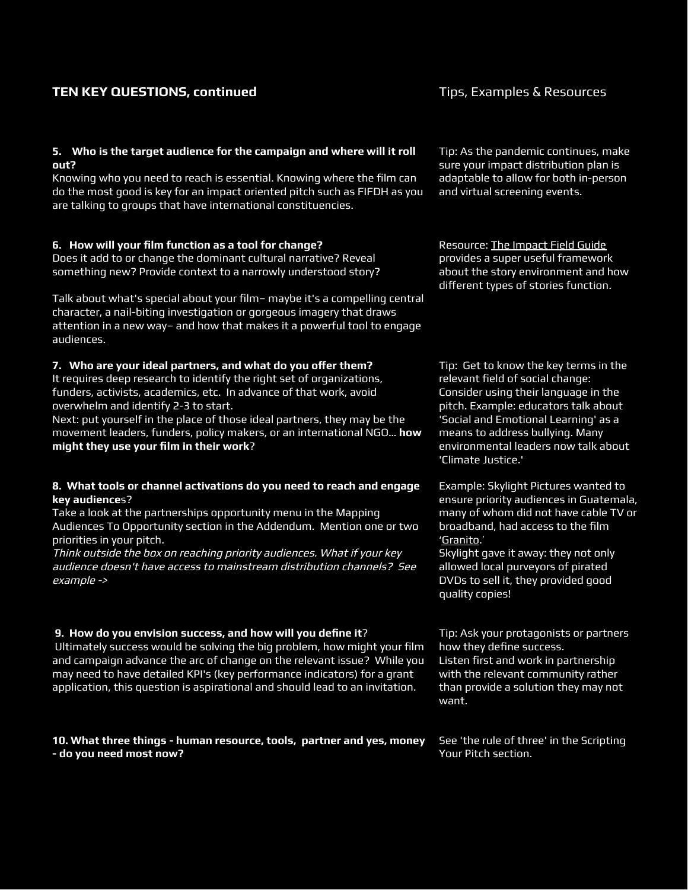# **TEN KEY QUESTIONS, continued** TEN Tips, Examples & Resources

#### **5. Who is the target audience for the campaign and where will it roll out?**

Knowing who you need to reach is essential. Knowing where the film can do the most good is key for an impact oriented pitch such as FIFDH as you are talking to groups that have international constituencies.

#### **6. How will your film function as a tool for change?**

Does it add to or change the dominant cultural narrative? Reveal something new? Provide context to a narrowly understood story?

Talk about what's special about your film– maybe it's a compelling central character, a nail-biting investigation or gorgeous imagery that draws attention in a new way– and how that makes it a powerful tool to engage audiences.

#### **7. Who are your ideal partners, and what do you oer them?**

It requires deep research to identify the right set of organizations, funders, activists, academics, etc. In advance of that work, avoid overwhelm and identify 2-3 to start.

Next: put yourself in the place of those ideal partners, they may be the movement leaders, funders, policy makers, or an international NGO… **how might they use your film in their work**?

#### **8. What tools or channel activations do you need to reach and engage key audience**s?

Take a look at the partnerships opportunity menu in the Mapping Audiences To Opportunity section in the Addendum. Mention one or two priorities in your pitch.

Think outside the box on reaching priority audiences. What if your key audience doesn't have access to mainstream distribution channels? See example ->

#### **9. How do you envision success, and how will you define it**?

Ultimately success would be solving the big problem, how might your film and campaign advance the arc of change on the relevant issue? While you may need to have detailed KPI's (key performance indicators) for a grant application, this question is aspirational and should lead to an invitation.

**10. What three things - human resource, tools, partner and yes, money - do you need most now?**

Tip: As the pandemic continues, make sure your impact distribution plan is adaptable to allow for both in-person and virtual screening events.

Resource: The Impact Field Guide provides a super useful framework about the story environment and how different types of stories function.

Tip: Get to know the key terms in the relevant field of social change: Consider using their language in the pitch. Example: educators talk about 'Social and Emotional Learning' as a means to address bullying. Many environmental leaders now talk about 'Climate Justice.'

Example: Skylight Pictures wanted to ensure priority audiences in Guatemala, many of whom did not have cable TV or broadband, had access to the film ['Granito.](https://skylight.is/films/granito/)'

Skylight gave it away: they not only allowed local purveyors of pirated DVDs to sell it, they provided good quality copies!

Tip: Ask your protagonists or partners how they define success. Listen first and work in partnership with the relevant community rather than provide a solution they may not want.

See 'the rule of three' in the Scripting Your Pitch section.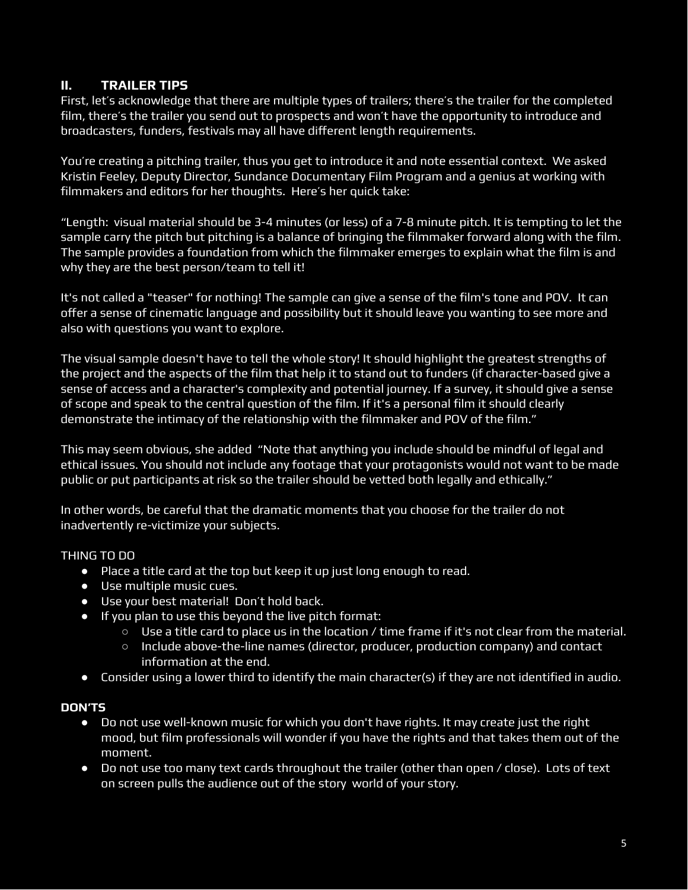# **II. TRAILER TIPS**

First, let's acknowledge that there are multiple types of trailers; there's the trailer for the completed film, there's the trailer you send out to prospects and won't have the opportunity to introduce and broadcasters, funders, festivals may all have different length requirements.

You're creating a pitching trailer, thus you get to introduce it and note essential context. We asked Kristin Feeley, Deputy Director, Sundance Documentary Film Program and a genius at working with filmmakers and editors for her thoughts. Here's her quick take:

"Length: visual material should be 3-4 minutes (or less) of a 7-8 minute pitch. It is tempting to let the sample carry the pitch but pitching is a balance of bringing the filmmaker forward along with the film. The sample provides a foundation from which the filmmaker emerges to explain what the film is and why they are the best person/team to tell it!

It's not called a "teaser" for nothing! The sample can give a sense of the film's tone and POV. It can offer a sense of cinematic language and possibility but it should leave you wanting to see more and also with questions you want to explore.

The visual sample doesn't have to tell the whole story! It should highlight the greatest strengths of the project and the aspects of the film that help it to stand out to funders (if character-based give a sense of access and a character's complexity and potential journey. If a survey, it should give a sense of scope and speak to the central question of the film. If it's a personal film it should clearly demonstrate the intimacy of the relationship with the filmmaker and POV of the film."

This may seem obvious, she added "Note that anything you include should be mindful of legal and ethical issues. You should not include any footage that your protagonists would not want to be made public or put participants at risk so the trailer should be vetted both legally and ethically."

In other words, be careful that the dramatic moments that you choose for the trailer do not inadvertently re-victimize your subjects.

# THING TO DO

- Place a title card at the top but keep it up just long enough to read.
- Use multiple music cues.
- Use your best material! Don't hold back.
- If you plan to use this beyond the live pitch format:
	- Use a title card to place us in the location / time frame if it's not clear from the material.
	- Include above-the-line names (director, producer, production company) and contact information at the end.
- Consider using a lower third to identify the main character(s) if they are not identified in audio.

#### **DON'TS**

- Do not use well-known music for which you don't have rights. It may create just the right mood, but film professionals will wonder if you have the rights and that takes them out of the moment.
- Do not use too many text cards throughout the trailer (other than open / close). Lots of text on screen pulls the audience out of the story world of your story.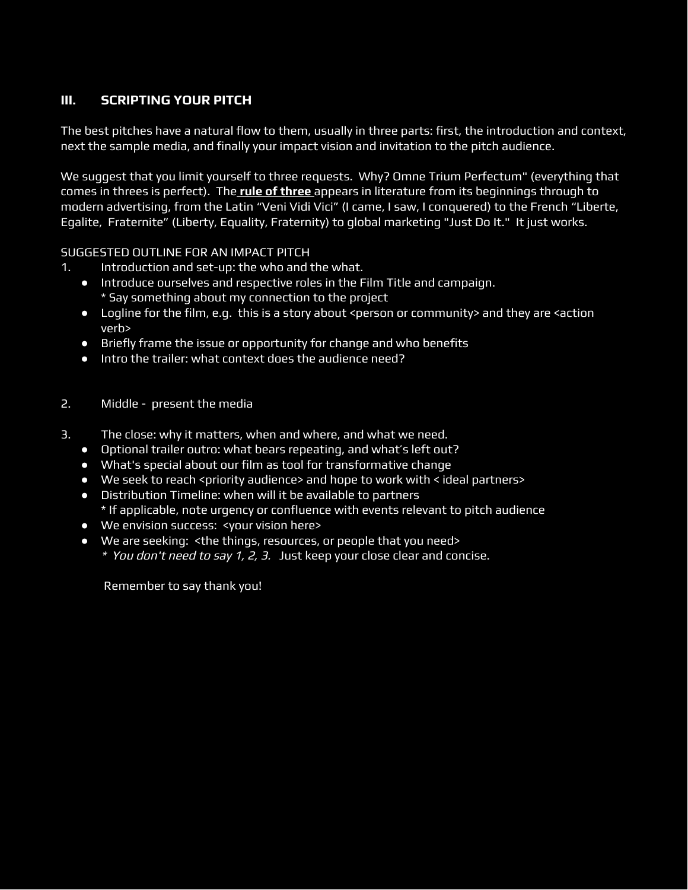# **III. SCRIPTING YOUR PITCH**

The best pitches have a natural flow to them, usually in three parts: first, the introduction and context, next the sample media, and finally your impact vision and invitation to the pitch audience.

We suggest that you limit yourself to three requests. Why? Omne Trium Perfectum" (everything that comes in threes is perfect). The **rule [of three](https://en.wikipedia.org/wiki/Rule_of_three_(writing))** appears in literature from its beginnings through to modern advertising, from the Latin "Veni Vidi Vici" (I came, I saw, I conquered) to the French "Liberte, Egalite, Fraternite" (Liberty, Equality, Fraternity) to global marketing "Just Do It." It just works.

SUGGESTED OUTLINE FOR AN IMPACT PITCH

- 1. Introduction and set-up: the who and the what.
	- Introduce ourselves and respective roles in the Film Title and campaign. \* Say something about my connection to the project
	- Logline for the film, e.g. this is a story about <person or community> and they are <action verb>
	- Briefly frame the issue or opportunity for change and who benefits
	- Intro the trailer: what context does the audience need?
- 2. Middle present the media
- 3. The close: why it matters, when and where, and what we need.
	- Optional trailer outro: what bears repeating, and what's left out?
	- What's special about our film as tool for transformative change
	- We seek to reach <priority audience> and hope to work with < ideal partners>
	- Distribution Timeline: when will it be available to partners
		- \* If applicable, note urgency or confluence with events relevant to pitch audience
	- We envision success: <your vision here>
	- We are seeking: <the things, resources, or people that you need>
		- \* You don't need to say 1, 2, 3. Just keep your close clear and concise.

Remember to say thank you!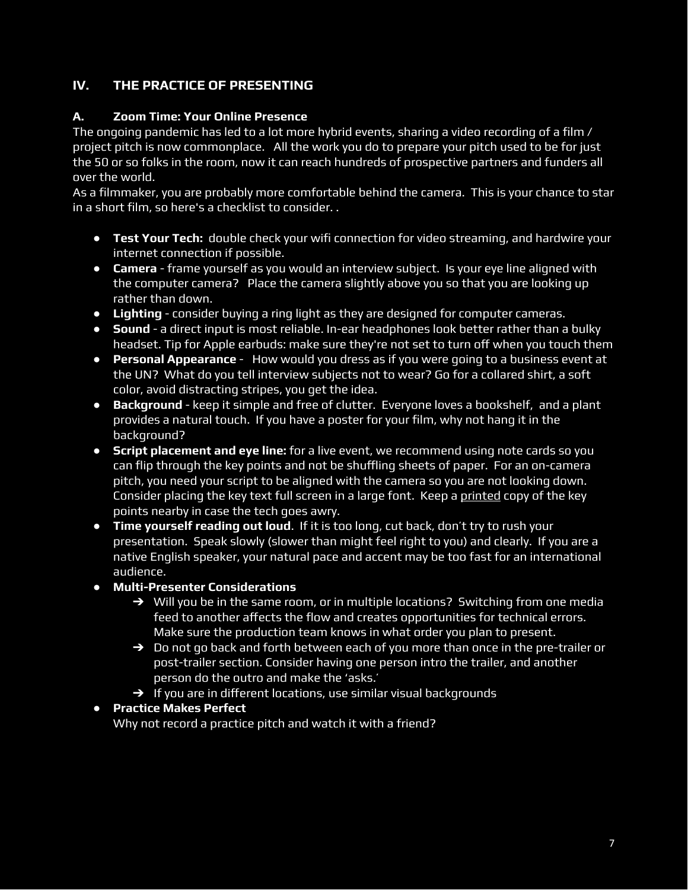# **IV. THE PRACTICE OF PRESENTING**

#### **A. Zoom Time: Your Online Presence**

The ongoing pandemic has led to a lot more hybrid events, sharing a video recording of a film / project pitch is now commonplace. All the work you do to prepare your pitch used to be for just the 50 or so folks in the room, now it can reach hundreds of prospective partners and funders all over the world.

As a filmmaker, you are probably more comfortable behind the camera. This is your chance to star in a short film, so here's a checklist to consider. .

- **Test Your Tech:** double check your wifi connection for video streaming, and hardwire your internet connection if possible.
- **Camera** frame yourself as you would an interview subject. Is your eye line aligned with the computer camera? Place the camera slightly above you so that you are looking up rather than down.
- **Lighting** consider buying a ring light as they are designed for computer cameras.
- **Sound** a direct input is most reliable. In-ear headphones look better rather than a bulky headset. Tip for Apple earbuds: make sure they're not set to turn off when you touch them
- **Personal Appearance** How would you dress as if you were going to a business event at the UN? What do you tell interview subjects not to wear? Go for a collared shirt, a soft color, avoid distracting stripes, you get the idea.
- **Background** keep it simple and free of clutter. Everyone loves a bookshelf, and a plant provides a natural touch. If you have a poster for your film, why not hang it in the background?
- **Script placement and eye line:** for a live event, we recommend using note cards so you can flip through the key points and not be shuffling sheets of paper. For an on-camera pitch, you need your script to be aligned with the camera so you are not looking down. Consider placing the key text full screen in a large font. Keep a printed copy of the key points nearby in case the tech goes awry.
- **Time yourself reading out loud**. If it is too long, cut back, don't try to rush your presentation. Speak slowly (slower than might feel right to you) and clearly. If you are a native English speaker, your natural pace and accent may be too fast for an international audience.

# **● Multi-Presenter Considerations**

- $\rightarrow$  Will you be in the same room, or in multiple locations? Switching from one media feed to another affects the flow and creates opportunities for technical errors. Make sure the production team knows in what order you plan to present.
- $\rightarrow$  Do not go back and forth between each of you more than once in the pre-trailer or post-trailer section. Consider having one person intro the trailer, and another person do the outro and make the 'asks.'
- $\rightarrow$  If you are in different locations, use similar visual backgrounds

# **● Practice Makes Perfect**

Why not record a practice pitch and watch it with a friend?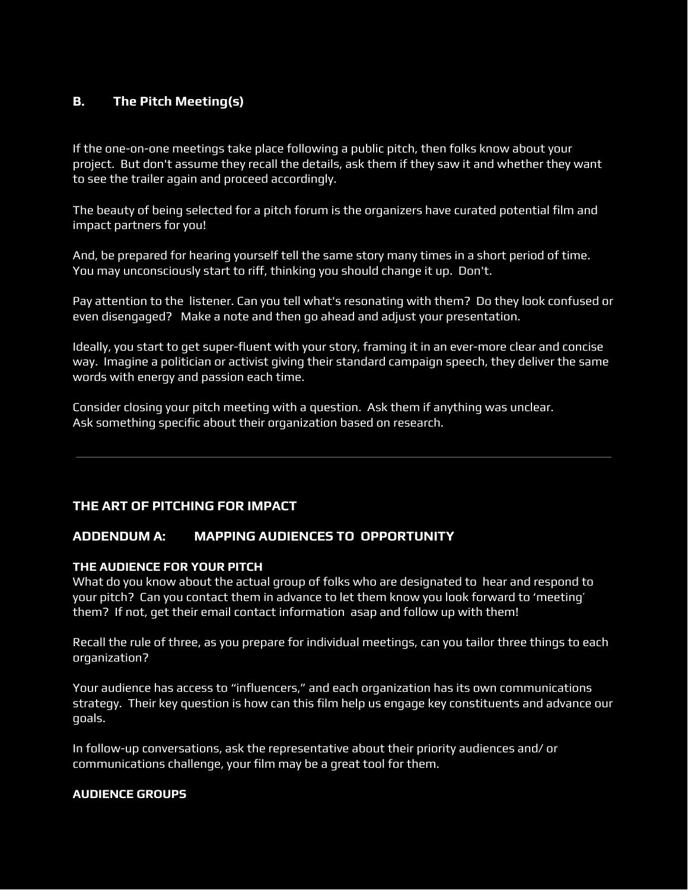# **B. The Pitch Meeting(s)**

If the one-on-one meetings take place following a public pitch, then folks know about your project. But don't assume they recall the details, ask them if they saw it and whether they want to see the trailer again and proceed accordingly.

The beauty of being selected for a pitch forum is the organizers have curated potential film and impact partners for you!

And, be prepared for hearing yourself tell the same story many times in a short period of time. You may unconsciously start to riff, thinking you should change it up. Don't.

Pay attention to the listener. Can you tell what's resonating with them? Do they look confused or even disengaged? Make a note and then go ahead and adjust your presentation.

Ideally, you start to get super-fluent with your story, framing it in an ever-more clear and concise way. Imagine a politician or activist giving their standard campaign speech, they deliver the same words with energy and passion each time.

Consider closing your pitch meeting with a question. Ask them if anything was unclear. Ask something specific about their organization based on research.

#### **THE ART OF PITCHING FOR IMPACT**

#### **ADDENDUM A: MAPPING AUDIENCES TO OPPORTUNITY**

#### **THE AUDIENCE FOR YOUR PITCH**

What do you know about the actual group of folks who are designated to hear and respond to your pitch? Can you contact them in advance to let them know you look forward to 'meeting' them? If not, get their email contact information asap and follow up with them!

Recall the rule of three, as you prepare for individual meetings, can you tailor three things to each organization?

Your audience has access to "influencers," and each organization has its own communications strategy. Their key question is how can this film help us engage key constituents and advance our goals.

In follow-up conversations, ask the representative about their priority audiences and/ or communications challenge, your film may be a great tool for them.

#### **AUDIENCE GROUPS**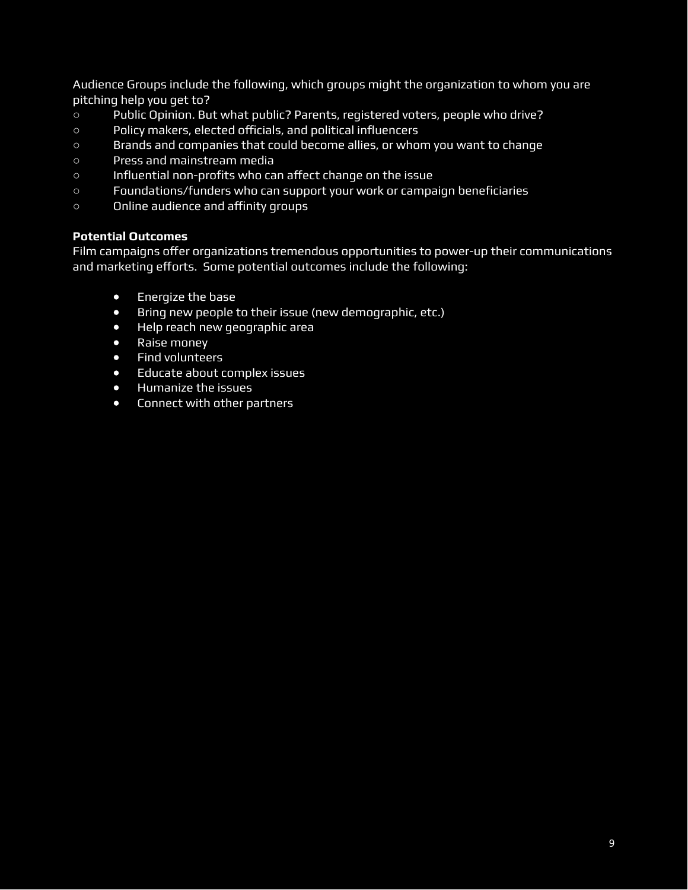Audience Groups include the following, which groups might the organization to whom you are pitching help you get to?

- Public Opinion. But what public? Parents, registered voters, people who drive?
- Policy makers, elected ocials, and political influencers
- Brands and companies that could become allies, or whom you want to change
- Press and mainstream media
- o Influential non-profits who can affect change on the issue
- Foundations/funders who can support your work or campaign beneficiaries
- o Online audience and affinity groups

# **Potential Outcomes**

Film campaigns offer organizations tremendous opportunities to power-up their communications and marketing efforts. Some potential outcomes include the following:

- Energize the base
- Bring new people to their issue (new demographic, etc.)
- Help reach new geographic area
- Raise money
- Find volunteers
- Educate about complex issues
- Humanize the issues
- Connect with other partners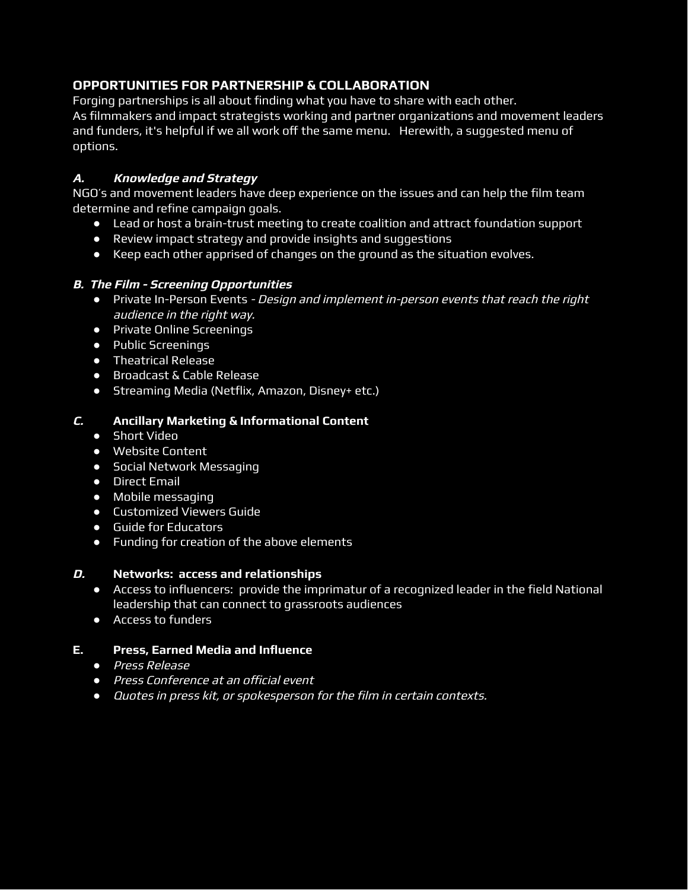# **OPPORTUNITIES FOR PARTNERSHIP & COLLABORATION**

Forging partnerships is all about finding what you have to share with each other. As filmmakers and impact strategists working and partner organizations and movement leaders and funders, it's helpful if we all work off the same menu. Herewith, a suggested menu of options.

#### **A. Knowledge and Strategy**

NGO's and movement leaders have deep experience on the issues and can help the film team determine and refine campaign goals.

- Lead or host a brain-trust meeting to create coalition and attract foundation support
- Review impact strategy and provide insights and suggestions
- Keep each other apprised of changes on the ground as the situation evolves.

#### **B. The Film - Screening Opportunities**

- Private In-Person Events Design and implement in-person events that reach the right audience in the right way.
- Private Online Screenings
- Public Screenings
- Theatrical Release
- Broadcast & Cable Release
- Streaming Media (Netflix, Amazon, Disney+ etc.)

#### **C. Ancillary Marketing & Informational Content**

- Short Video
- Website Content
- Social Network Messaging
- Direct Email
- Mobile messaging
- Customized Viewers Guide
- Guide for Educators
- Funding for creation of the above elements

#### **D. Networks: access and relationships**

- Access to influencers: provide the imprimatur of a recognized leader in the field National leadership that can connect to grassroots audiences
- Access to funders

#### **E. Press, Earned Media and Influence**

- *●* Press Release
- **•** Press Conference at an official event
- *●* Quotes in press kit, or spokesperson for the film in certain contexts.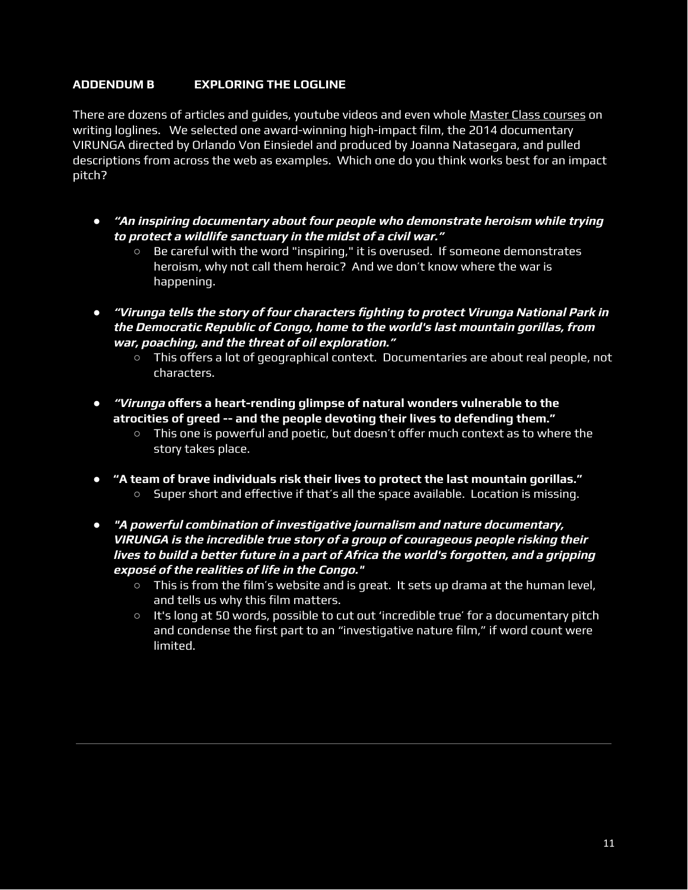# **ADDENDUM B EXPLORING THE LOGLINE**

There are dozens of articles and guides, youtube videos and even whole Master [Class courses](https://www.masterclass.com/articles/screenwriting-tips-how-to-write-a-logline) on writing loglines. We selected one award-winning high-impact film, the 2014 documentary VIRUNGA directed by Orlando Von Einsiedel and produced by Joanna Natasegara, and pulled descriptions from across the web as examples. Which one do you think works best for an impact pitch?

- *●* **"An inspiring documentary about four people who demonstrate heroism while trying to protect <sup>a</sup> wildlife sanctuary in the midst of a civil war."**
	- Be careful with the word "inspiring," it is overused. If someone demonstrates heroism, why not call them heroic? And we don't know where the war is happening.
- *●* **"Virunga tells the story of four characters fighting to protect Virunga National Park in the Democratic Republic of Congo, home to the world's last mountain gorillas, from war, poaching, and the threat of oil exploration."**
	- This offers a lot of geographical context. Documentaries are about real people, not characters.
- **•** *"Virunga* **offers a heart-rending glimpse of natural wonders vulnerable to the atrocities of greed -- and the people devoting their lives to defending them."**
	- $\circ$  This one is powerful and poetic, but doesn't offer much context as to where the story takes place.
- **● "A team of brave individuals risk their lives to protect the last mountain gorillas."** O Super short and effective if that's all the space available. Location is missing.
- *●* **"A powerful combination of investigative journalism and nature documentary, VIRUNGA is the incredible true story of a group of courageous people risking their lives to build <sup>a</sup> better future in <sup>a</sup> part of Africa the world's forgotten, and <sup>a</sup> gripping exposé of the realities of life in the Congo."**
	- **○** This is from the film's website and is great. It sets up drama at the human level, and tells us why this film matters.
	- **○** It's long at 50 words, possible to cut out 'incredible true' for a documentary pitch and condense the first part to an "investigative nature film," if word count were limited.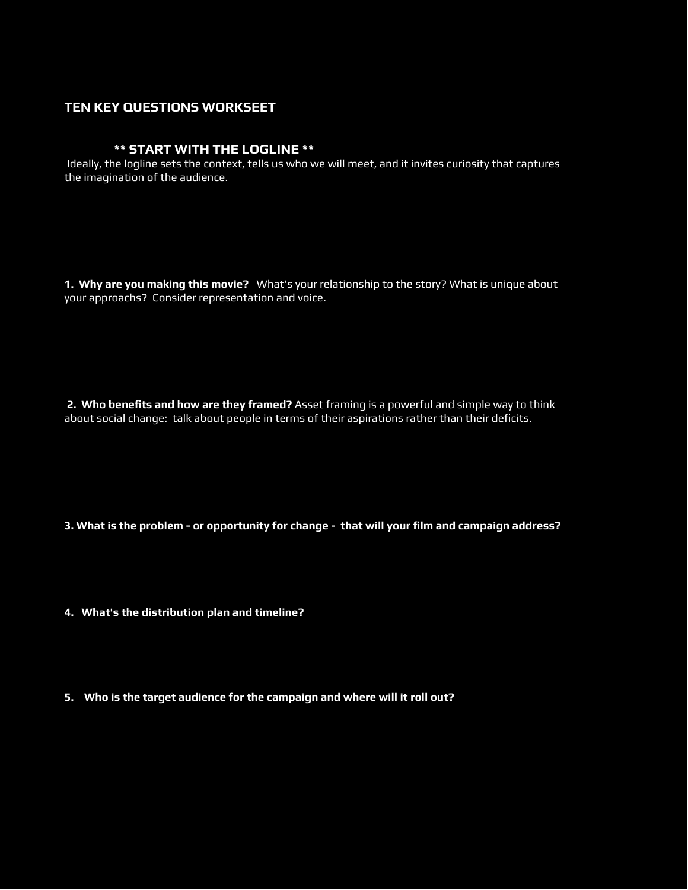#### **TEN KEY QUESTIONS WORKSEET**

#### **\*\* START WITH THE LOGLINE \*\***

Ideally, the logline sets the context, tells us who we will meet, and it invites curiosity that captures the imagination of the audience.

**1. Why are you making this movie?** What's your relationship to the story? What is unique about your approachs? Consider representation and voice.

**2. Who benefits and how are they framed?** Asset framing is a powerful and simple way to think about social change: talk about people in terms of their aspirations rather than their deficits.

**3. What is the problem - or opportunity for change - that will your film and campaign address?**

- **4. What's the distribution plan and timeline?**
- **5. Who is the target audience for the campaign and where will it roll out?**